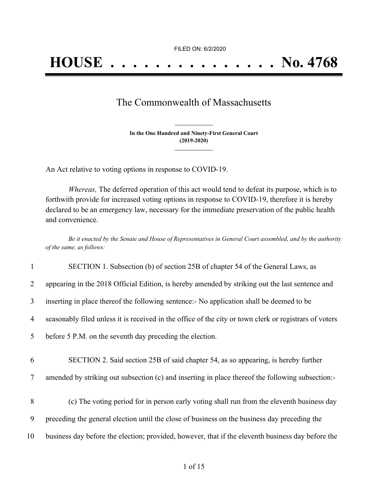FILED ON: 6/2/2020

## The Commonwealth of Massachusetts

**In the One Hundred and Ninety-First General Court (2019-2020) \_\_\_\_\_\_\_\_\_\_\_\_\_\_\_**

**\_\_\_\_\_\_\_\_\_\_\_\_\_\_\_**

An Act relative to voting options in response to COVID-19.

*Whereas,* The deferred operation of this act would tend to defeat its purpose, which is to forthwith provide for increased voting options in response to COVID-19, therefore it is hereby declared to be an emergency law, necessary for the immediate preservation of the public health and convenience.

Be it enacted by the Senate and House of Representatives in General Court assembled, and by the authority *of the same, as follows:*

| 1              | SECTION 1. Subsection (b) of section 25B of chapter 54 of the General Laws, as                         |
|----------------|--------------------------------------------------------------------------------------------------------|
| 2              | appearing in the 2018 Official Edition, is hereby amended by striking out the last sentence and        |
| 3              | inserting in place thereof the following sentence:- No application shall be deemed to be               |
| $\overline{4}$ | seasonably filed unless it is received in the office of the city or town clerk or registrars of voters |
| 5              | before 5 P.M. on the seventh day preceding the election.                                               |
|                |                                                                                                        |
| 6              | SECTION 2. Said section 25B of said chapter 54, as so appearing, is hereby further                     |
| 7              | amended by striking out subsection (c) and inserting in place thereof the following subsection:-       |
|                |                                                                                                        |
| 8              | (c) The voting period for in person early voting shall run from the eleventh business day              |
| 9              | preceding the general election until the close of business on the business day preceding the           |
|                |                                                                                                        |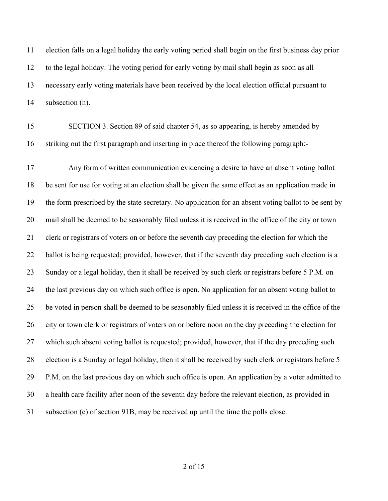election falls on a legal holiday the early voting period shall begin on the first business day prior to the legal holiday. The voting period for early voting by mail shall begin as soon as all necessary early voting materials have been received by the local election official pursuant to subsection (h).

 SECTION 3. Section 89 of said chapter 54, as so appearing, is hereby amended by striking out the first paragraph and inserting in place thereof the following paragraph:-

 Any form of written communication evidencing a desire to have an absent voting ballot be sent for use for voting at an election shall be given the same effect as an application made in the form prescribed by the state secretary. No application for an absent voting ballot to be sent by mail shall be deemed to be seasonably filed unless it is received in the office of the city or town clerk or registrars of voters on or before the seventh day preceding the election for which the ballot is being requested; provided, however, that if the seventh day preceding such election is a Sunday or a legal holiday, then it shall be received by such clerk or registrars before 5 P.M. on the last previous day on which such office is open. No application for an absent voting ballot to be voted in person shall be deemed to be seasonably filed unless it is received in the office of the city or town clerk or registrars of voters on or before noon on the day preceding the election for which such absent voting ballot is requested; provided, however, that if the day preceding such election is a Sunday or legal holiday, then it shall be received by such clerk or registrars before 5 P.M. on the last previous day on which such office is open. An application by a voter admitted to a health care facility after noon of the seventh day before the relevant election, as provided in subsection (c) of section 91B, may be received up until the time the polls close.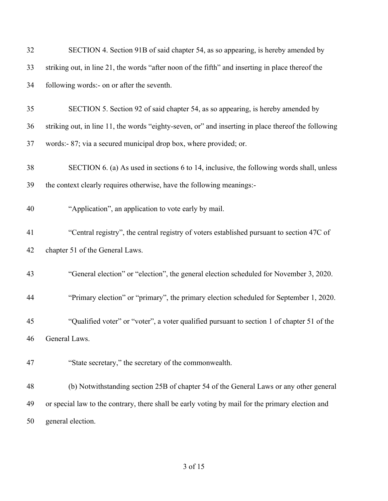| 32 | SECTION 4. Section 91B of said chapter 54, as so appearing, is hereby amended by                    |
|----|-----------------------------------------------------------------------------------------------------|
| 33 | striking out, in line 21, the words "after noon of the fifth" and inserting in place thereof the    |
| 34 | following words:- on or after the seventh.                                                          |
| 35 | SECTION 5. Section 92 of said chapter 54, as so appearing, is hereby amended by                     |
| 36 | striking out, in line 11, the words "eighty-seven, or" and inserting in place thereof the following |
| 37 | words:- 87; via a secured municipal drop box, where provided; or.                                   |
| 38 | SECTION 6. (a) As used in sections 6 to 14, inclusive, the following words shall, unless            |
| 39 | the context clearly requires otherwise, have the following meanings:-                               |
| 40 | "Application", an application to vote early by mail.                                                |
| 41 | "Central registry", the central registry of voters established pursuant to section 47C of           |
| 42 | chapter 51 of the General Laws.                                                                     |
| 43 | "General election" or "election", the general election scheduled for November 3, 2020.              |
| 44 | "Primary election" or "primary", the primary election scheduled for September 1, 2020.              |
| 45 | "Qualified voter" or "voter", a voter qualified pursuant to section 1 of chapter 51 of the          |
| 46 | General Laws.                                                                                       |
| 47 | "State secretary," the secretary of the commonwealth.                                               |
| 48 | (b) Notwithstanding section 25B of chapter 54 of the General Laws or any other general              |
| 49 | or special law to the contrary, there shall be early voting by mail for the primary election and    |
| 50 | general election.                                                                                   |
|    |                                                                                                     |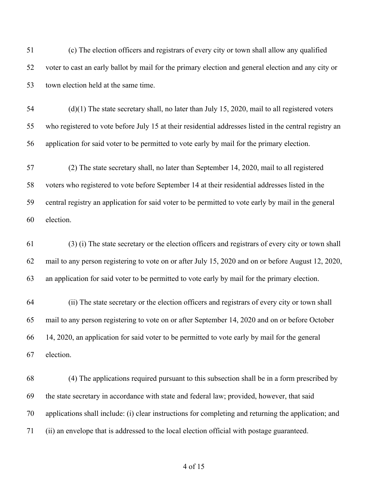(c) The election officers and registrars of every city or town shall allow any qualified voter to cast an early ballot by mail for the primary election and general election and any city or town election held at the same time.

 (d)(1) The state secretary shall, no later than July 15, 2020, mail to all registered voters who registered to vote before July 15 at their residential addresses listed in the central registry an application for said voter to be permitted to vote early by mail for the primary election.

 (2) The state secretary shall, no later than September 14, 2020, mail to all registered voters who registered to vote before September 14 at their residential addresses listed in the central registry an application for said voter to be permitted to vote early by mail in the general election.

 (3) (i) The state secretary or the election officers and registrars of every city or town shall mail to any person registering to vote on or after July 15, 2020 and on or before August 12, 2020, an application for said voter to be permitted to vote early by mail for the primary election.

 (ii) The state secretary or the election officers and registrars of every city or town shall mail to any person registering to vote on or after September 14, 2020 and on or before October 14, 2020, an application for said voter to be permitted to vote early by mail for the general election.

 (4) The applications required pursuant to this subsection shall be in a form prescribed by the state secretary in accordance with state and federal law; provided, however, that said applications shall include: (i) clear instructions for completing and returning the application; and (ii) an envelope that is addressed to the local election official with postage guaranteed.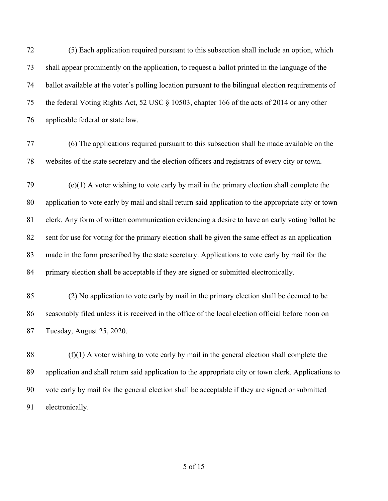(5) Each application required pursuant to this subsection shall include an option, which shall appear prominently on the application, to request a ballot printed in the language of the ballot available at the voter's polling location pursuant to the bilingual election requirements of the federal Voting Rights Act, 52 USC § 10503, chapter 166 of the acts of 2014 or any other applicable federal or state law.

- (6) The applications required pursuant to this subsection shall be made available on the websites of the state secretary and the election officers and registrars of every city or town.
- (e)(1) A voter wishing to vote early by mail in the primary election shall complete the application to vote early by mail and shall return said application to the appropriate city or town clerk. Any form of written communication evidencing a desire to have an early voting ballot be sent for use for voting for the primary election shall be given the same effect as an application made in the form prescribed by the state secretary. Applications to vote early by mail for the primary election shall be acceptable if they are signed or submitted electronically.
- (2) No application to vote early by mail in the primary election shall be deemed to be seasonably filed unless it is received in the office of the local election official before noon on Tuesday, August 25, 2020.
- (f)(1) A voter wishing to vote early by mail in the general election shall complete the application and shall return said application to the appropriate city or town clerk. Applications to vote early by mail for the general election shall be acceptable if they are signed or submitted electronically.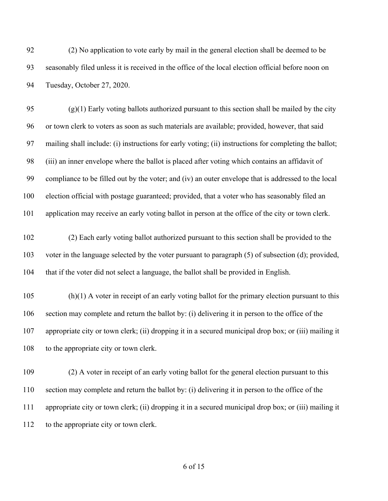(2) No application to vote early by mail in the general election shall be deemed to be seasonably filed unless it is received in the office of the local election official before noon on Tuesday, October 27, 2020.

95 (g)(1) Early voting ballots authorized pursuant to this section shall be mailed by the city or town clerk to voters as soon as such materials are available; provided, however, that said mailing shall include: (i) instructions for early voting; (ii) instructions for completing the ballot; (iii) an inner envelope where the ballot is placed after voting which contains an affidavit of compliance to be filled out by the voter; and (iv) an outer envelope that is addressed to the local election official with postage guaranteed; provided, that a voter who has seasonably filed an application may receive an early voting ballot in person at the office of the city or town clerk.

 (2) Each early voting ballot authorized pursuant to this section shall be provided to the voter in the language selected by the voter pursuant to paragraph (5) of subsection (d); provided, that if the voter did not select a language, the ballot shall be provided in English.

 (h)(1) A voter in receipt of an early voting ballot for the primary election pursuant to this section may complete and return the ballot by: (i) delivering it in person to the office of the appropriate city or town clerk; (ii) dropping it in a secured municipal drop box; or (iii) mailing it 108 to the appropriate city or town clerk.

 (2) A voter in receipt of an early voting ballot for the general election pursuant to this section may complete and return the ballot by: (i) delivering it in person to the office of the appropriate city or town clerk; (ii) dropping it in a secured municipal drop box; or (iii) mailing it to the appropriate city or town clerk.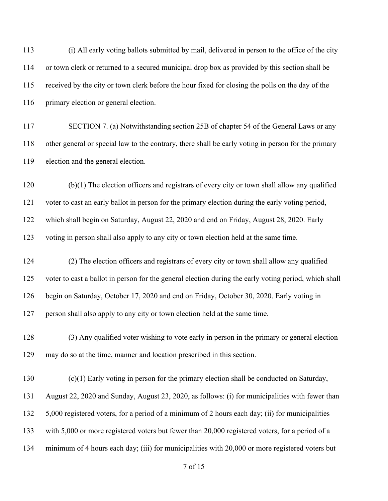(i) All early voting ballots submitted by mail, delivered in person to the office of the city or town clerk or returned to a secured municipal drop box as provided by this section shall be received by the city or town clerk before the hour fixed for closing the polls on the day of the primary election or general election.

117 SECTION 7. (a) Notwithstanding section 25B of chapter 54 of the General Laws or any other general or special law to the contrary, there shall be early voting in person for the primary election and the general election.

 (b)(1) The election officers and registrars of every city or town shall allow any qualified voter to cast an early ballot in person for the primary election during the early voting period, which shall begin on Saturday, August 22, 2020 and end on Friday, August 28, 2020. Early voting in person shall also apply to any city or town election held at the same time.

 (2) The election officers and registrars of every city or town shall allow any qualified voter to cast a ballot in person for the general election during the early voting period, which shall begin on Saturday, October 17, 2020 and end on Friday, October 30, 2020. Early voting in person shall also apply to any city or town election held at the same time.

 (3) Any qualified voter wishing to vote early in person in the primary or general election may do so at the time, manner and location prescribed in this section.

 (c)(1) Early voting in person for the primary election shall be conducted on Saturday, August 22, 2020 and Sunday, August 23, 2020, as follows: (i) for municipalities with fewer than 5,000 registered voters, for a period of a minimum of 2 hours each day; (ii) for municipalities 133 with 5,000 or more registered voters but fewer than 20,000 registered voters, for a period of a minimum of 4 hours each day; (iii) for municipalities with 20,000 or more registered voters but

of 15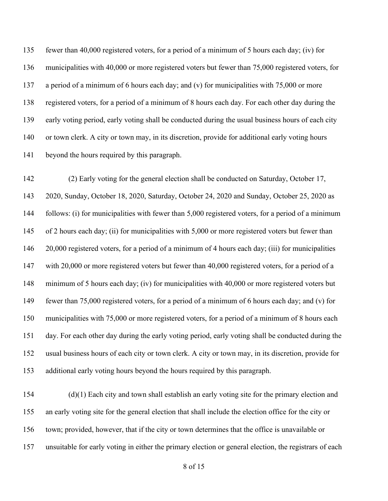fewer than 40,000 registered voters, for a period of a minimum of 5 hours each day; (iv) for municipalities with 40,000 or more registered voters but fewer than 75,000 registered voters, for 137 a period of a minimum of 6 hours each day; and (v) for municipalities with 75,000 or more registered voters, for a period of a minimum of 8 hours each day. For each other day during the early voting period, early voting shall be conducted during the usual business hours of each city or town clerk. A city or town may, in its discretion, provide for additional early voting hours beyond the hours required by this paragraph.

 (2) Early voting for the general election shall be conducted on Saturday, October 17, 2020, Sunday, October 18, 2020, Saturday, October 24, 2020 and Sunday, October 25, 2020 as follows: (i) for municipalities with fewer than 5,000 registered voters, for a period of a minimum of 2 hours each day; (ii) for municipalities with 5,000 or more registered voters but fewer than 20,000 registered voters, for a period of a minimum of 4 hours each day; (iii) for municipalities with 20,000 or more registered voters but fewer than 40,000 registered voters, for a period of a minimum of 5 hours each day; (iv) for municipalities with 40,000 or more registered voters but fewer than 75,000 registered voters, for a period of a minimum of 6 hours each day; and (v) for municipalities with 75,000 or more registered voters, for a period of a minimum of 8 hours each day. For each other day during the early voting period, early voting shall be conducted during the usual business hours of each city or town clerk. A city or town may, in its discretion, provide for additional early voting hours beyond the hours required by this paragraph.

 (d)(1) Each city and town shall establish an early voting site for the primary election and an early voting site for the general election that shall include the election office for the city or town; provided, however, that if the city or town determines that the office is unavailable or unsuitable for early voting in either the primary election or general election, the registrars of each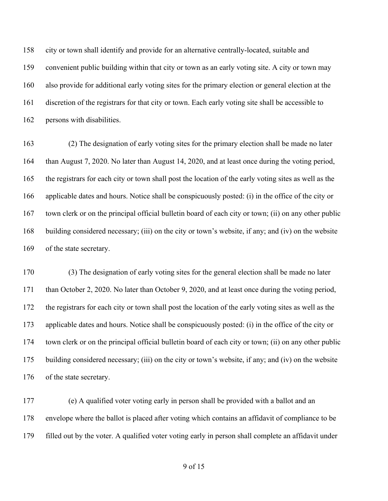city or town shall identify and provide for an alternative centrally-located, suitable and convenient public building within that city or town as an early voting site. A city or town may also provide for additional early voting sites for the primary election or general election at the discretion of the registrars for that city or town. Each early voting site shall be accessible to persons with disabilities.

 (2) The designation of early voting sites for the primary election shall be made no later than August 7, 2020. No later than August 14, 2020, and at least once during the voting period, the registrars for each city or town shall post the location of the early voting sites as well as the applicable dates and hours. Notice shall be conspicuously posted: (i) in the office of the city or town clerk or on the principal official bulletin board of each city or town; (ii) on any other public building considered necessary; (iii) on the city or town's website, if any; and (iv) on the website of the state secretary.

 (3) The designation of early voting sites for the general election shall be made no later than October 2, 2020. No later than October 9, 2020, and at least once during the voting period, the registrars for each city or town shall post the location of the early voting sites as well as the applicable dates and hours. Notice shall be conspicuously posted: (i) in the office of the city or town clerk or on the principal official bulletin board of each city or town; (ii) on any other public building considered necessary; (iii) on the city or town's website, if any; and (iv) on the website of the state secretary.

 (e) A qualified voter voting early in person shall be provided with a ballot and an envelope where the ballot is placed after voting which contains an affidavit of compliance to be filled out by the voter. A qualified voter voting early in person shall complete an affidavit under

of 15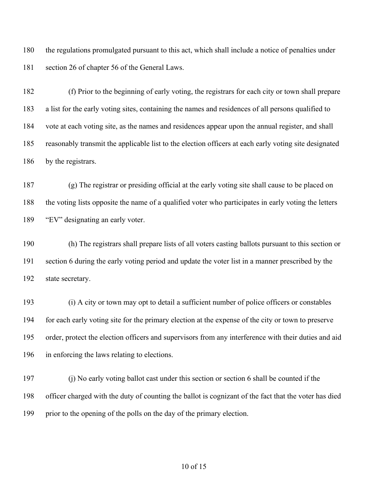the regulations promulgated pursuant to this act, which shall include a notice of penalties under section 26 of chapter 56 of the General Laws.

 (f) Prior to the beginning of early voting, the registrars for each city or town shall prepare a list for the early voting sites, containing the names and residences of all persons qualified to vote at each voting site, as the names and residences appear upon the annual register, and shall reasonably transmit the applicable list to the election officers at each early voting site designated by the registrars.

 (g) The registrar or presiding official at the early voting site shall cause to be placed on the voting lists opposite the name of a qualified voter who participates in early voting the letters "EV" designating an early voter.

 (h) The registrars shall prepare lists of all voters casting ballots pursuant to this section or section 6 during the early voting period and update the voter list in a manner prescribed by the state secretary.

 (i) A city or town may opt to detail a sufficient number of police officers or constables for each early voting site for the primary election at the expense of the city or town to preserve order, protect the election officers and supervisors from any interference with their duties and aid in enforcing the laws relating to elections.

 (j) No early voting ballot cast under this section or section 6 shall be counted if the officer charged with the duty of counting the ballot is cognizant of the fact that the voter has died prior to the opening of the polls on the day of the primary election.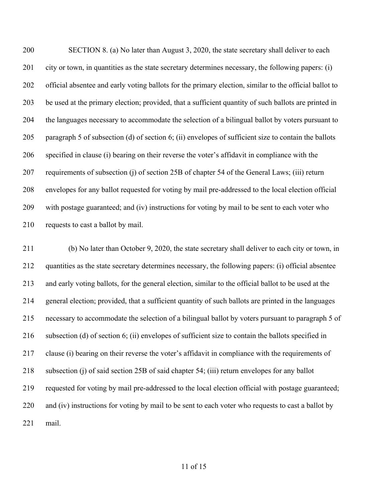SECTION 8. (a) No later than August 3, 2020, the state secretary shall deliver to each city or town, in quantities as the state secretary determines necessary, the following papers: (i) official absentee and early voting ballots for the primary election, similar to the official ballot to be used at the primary election; provided, that a sufficient quantity of such ballots are printed in the languages necessary to accommodate the selection of a bilingual ballot by voters pursuant to paragraph 5 of subsection (d) of section 6; (ii) envelopes of sufficient size to contain the ballots specified in clause (i) bearing on their reverse the voter's affidavit in compliance with the requirements of subsection (j) of section 25B of chapter 54 of the General Laws; (iii) return envelopes for any ballot requested for voting by mail pre-addressed to the local election official with postage guaranteed; and (iv) instructions for voting by mail to be sent to each voter who requests to cast a ballot by mail.

 (b) No later than October 9, 2020, the state secretary shall deliver to each city or town, in quantities as the state secretary determines necessary, the following papers: (i) official absentee and early voting ballots, for the general election, similar to the official ballot to be used at the general election; provided, that a sufficient quantity of such ballots are printed in the languages necessary to accommodate the selection of a bilingual ballot by voters pursuant to paragraph 5 of subsection (d) of section 6; (ii) envelopes of sufficient size to contain the ballots specified in clause (i) bearing on their reverse the voter's affidavit in compliance with the requirements of subsection (j) of said section 25B of said chapter 54; (iii) return envelopes for any ballot requested for voting by mail pre-addressed to the local election official with postage guaranteed; 220 and (iv) instructions for voting by mail to be sent to each voter who requests to cast a ballot by mail.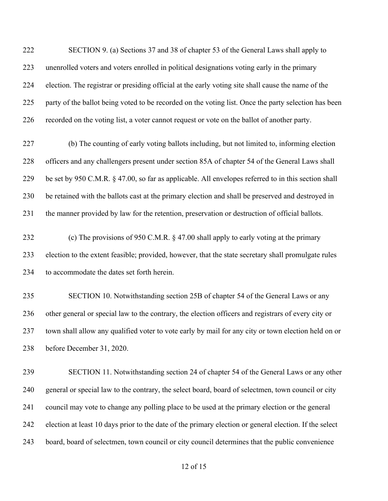SECTION 9. (a) Sections 37 and 38 of chapter 53 of the General Laws shall apply to unenrolled voters and voters enrolled in political designations voting early in the primary election. The registrar or presiding official at the early voting site shall cause the name of the party of the ballot being voted to be recorded on the voting list. Once the party selection has been recorded on the voting list, a voter cannot request or vote on the ballot of another party.

 (b) The counting of early voting ballots including, but not limited to, informing election officers and any challengers present under section 85A of chapter 54 of the General Laws shall be set by 950 C.M.R. § 47.00, so far as applicable. All envelopes referred to in this section shall be retained with the ballots cast at the primary election and shall be preserved and destroyed in the manner provided by law for the retention, preservation or destruction of official ballots.

232 (c) The provisions of 950 C.M.R. § 47.00 shall apply to early voting at the primary election to the extent feasible; provided, however, that the state secretary shall promulgate rules to accommodate the dates set forth herein.

 SECTION 10. Notwithstanding section 25B of chapter 54 of the General Laws or any other general or special law to the contrary, the election officers and registrars of every city or town shall allow any qualified voter to vote early by mail for any city or town election held on or before December 31, 2020.

 SECTION 11. Notwithstanding section 24 of chapter 54 of the General Laws or any other general or special law to the contrary, the select board, board of selectmen, town council or city council may vote to change any polling place to be used at the primary election or the general election at least 10 days prior to the date of the primary election or general election. If the select board, board of selectmen, town council or city council determines that the public convenience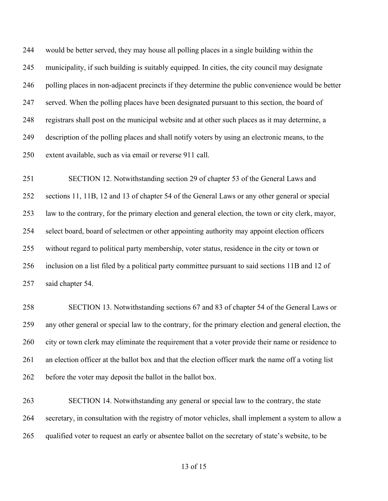would be better served, they may house all polling places in a single building within the municipality, if such building is suitably equipped. In cities, the city council may designate polling places in non-adjacent precincts if they determine the public convenience would be better served. When the polling places have been designated pursuant to this section, the board of registrars shall post on the municipal website and at other such places as it may determine, a description of the polling places and shall notify voters by using an electronic means, to the extent available, such as via email or reverse 911 call.

 SECTION 12. Notwithstanding section 29 of chapter 53 of the General Laws and sections 11, 11B, 12 and 13 of chapter 54 of the General Laws or any other general or special law to the contrary, for the primary election and general election, the town or city clerk, mayor, select board, board of selectmen or other appointing authority may appoint election officers without regard to political party membership, voter status, residence in the city or town or inclusion on a list filed by a political party committee pursuant to said sections 11B and 12 of said chapter 54.

 SECTION 13. Notwithstanding sections 67 and 83 of chapter 54 of the General Laws or any other general or special law to the contrary, for the primary election and general election, the city or town clerk may eliminate the requirement that a voter provide their name or residence to an election officer at the ballot box and that the election officer mark the name off a voting list before the voter may deposit the ballot in the ballot box.

 SECTION 14. Notwithstanding any general or special law to the contrary, the state secretary, in consultation with the registry of motor vehicles, shall implement a system to allow a qualified voter to request an early or absentee ballot on the secretary of state's website, to be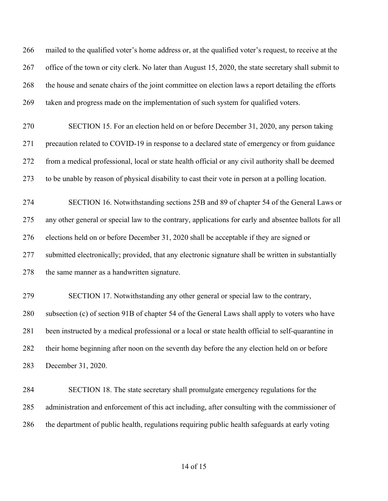mailed to the qualified voter's home address or, at the qualified voter's request, to receive at the office of the town or city clerk. No later than August 15, 2020, the state secretary shall submit to the house and senate chairs of the joint committee on election laws a report detailing the efforts taken and progress made on the implementation of such system for qualified voters.

 SECTION 15. For an election held on or before December 31, 2020, any person taking precaution related to COVID-19 in response to a declared state of emergency or from guidance from a medical professional, local or state health official or any civil authority shall be deemed to be unable by reason of physical disability to cast their vote in person at a polling location.

 SECTION 16. Notwithstanding sections 25B and 89 of chapter 54 of the General Laws or any other general or special law to the contrary, applications for early and absentee ballots for all elections held on or before December 31, 2020 shall be acceptable if they are signed or submitted electronically; provided, that any electronic signature shall be written in substantially 278 the same manner as a handwritten signature.

 SECTION 17. Notwithstanding any other general or special law to the contrary, subsection (c) of section 91B of chapter 54 of the General Laws shall apply to voters who have been instructed by a medical professional or a local or state health official to self-quarantine in their home beginning after noon on the seventh day before the any election held on or before December 31, 2020.

 SECTION 18. The state secretary shall promulgate emergency regulations for the administration and enforcement of this act including, after consulting with the commissioner of the department of public health, regulations requiring public health safeguards at early voting